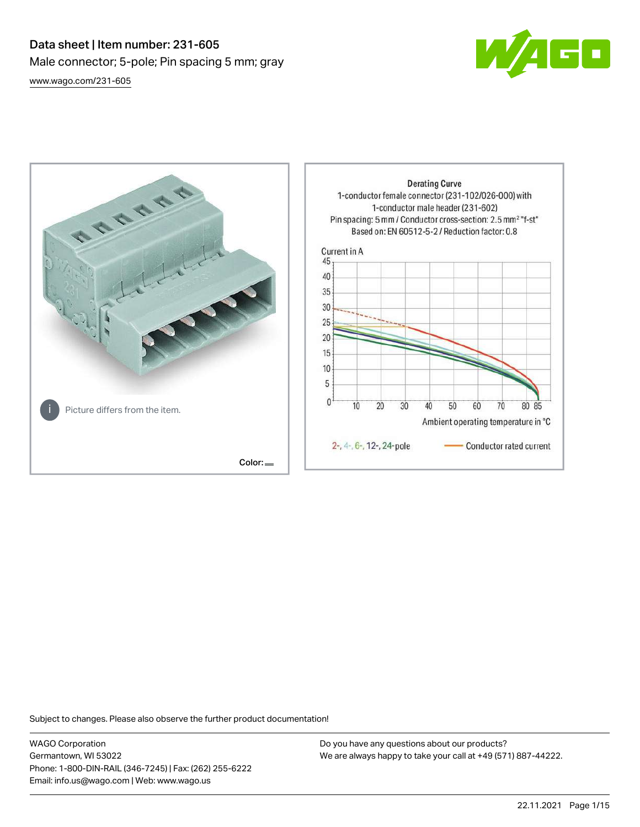# Data sheet | Item number: 231-605 Male connector; 5-pole; Pin spacing 5 mm; gray [www.wago.com/231-605](http://www.wago.com/231-605)





Subject to changes. Please also observe the further product documentation!

WAGO Corporation Germantown, WI 53022 Phone: 1-800-DIN-RAIL (346-7245) | Fax: (262) 255-6222 Email: info.us@wago.com | Web: www.wago.us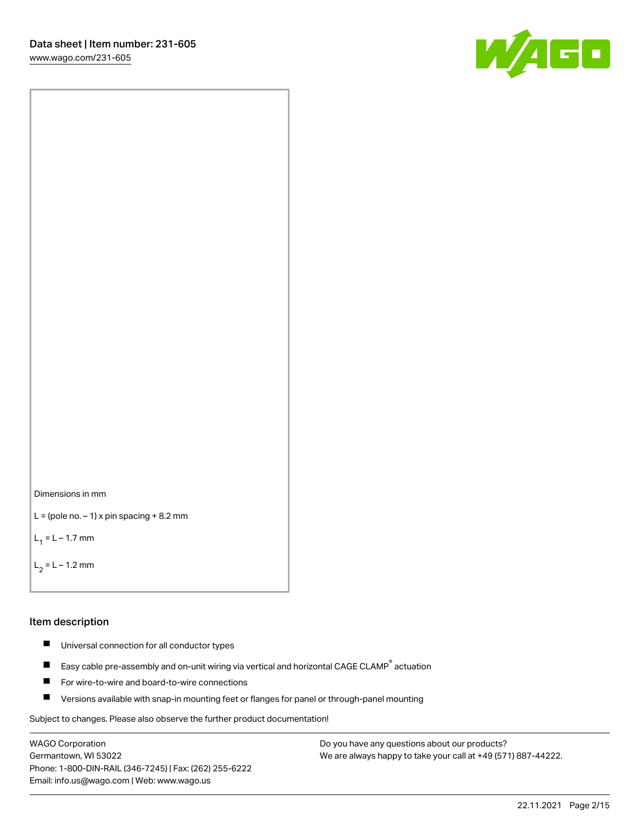60



```
L = (pole no. -1) x pin spacing +8.2 mm
```
 $L_1 = L - 1.7$  mm

```
L_2 = L - 1.2 mm
```
#### Item description

- $\blacksquare$ Universal connection for all conductor types
- Easy cable pre-assembly and on-unit wiring via vertical and horizontal CAGE CLAMP<sup>®</sup> actuation  $\blacksquare$
- П For wire-to-wire and board-to-wire connections
- $\blacksquare$ Versions available with snap-in mounting feet or flanges for panel or through-panel mounting

Subject to changes. Please also observe the further product documentation!

WAGO Corporation Germantown, WI 53022 Phone: 1-800-DIN-RAIL (346-7245) | Fax: (262) 255-6222 Email: info.us@wago.com | Web: www.wago.us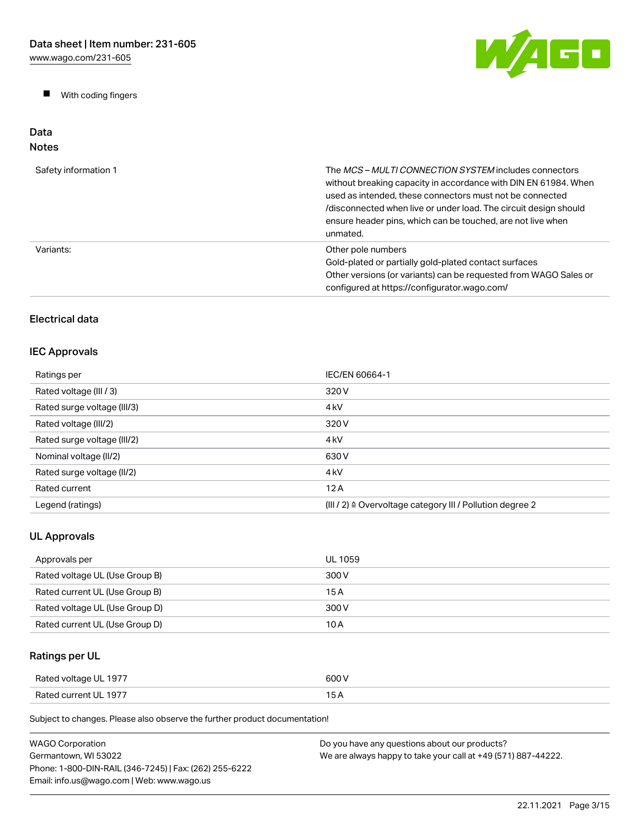$\blacksquare$ With coding fingers



Data Notes

# Safety information 1 The MCS – MULTI CONNECTION SYSTEM includes connectors without breaking capacity in accordance with DIN EN 61984. When used as intended, these connectors must not be connected /disconnected when live or under load. The circuit design should ensure header pins, which can be touched, are not live when unmated. Variants: **Variants:** Other pole numbers Gold-plated or partially gold-plated contact surfaces Other versions (or variants) can be requested from WAGO Sales or configured at https://configurator.wago.com/

## Electrical data

## IEC Approvals

| Ratings per                 | IEC/EN 60664-1                                            |
|-----------------------------|-----------------------------------------------------------|
| Rated voltage (III / 3)     | 320 V                                                     |
| Rated surge voltage (III/3) | 4 <sub>kV</sub>                                           |
| Rated voltage (III/2)       | 320 V                                                     |
| Rated surge voltage (III/2) | 4 <sub>kV</sub>                                           |
| Nominal voltage (II/2)      | 630 V                                                     |
| Rated surge voltage (II/2)  | 4 <sub>kV</sub>                                           |
| Rated current               | 12A                                                       |
| Legend (ratings)            | (III / 2) ≙ Overvoltage category III / Pollution degree 2 |

## UL Approvals

| Approvals per                  | UL 1059 |
|--------------------------------|---------|
| Rated voltage UL (Use Group B) | 300 V   |
| Rated current UL (Use Group B) | 15 A    |
| Rated voltage UL (Use Group D) | 300 V   |
| Rated current UL (Use Group D) | 10 A    |

## Ratings per UL

| Rated voltage UL 1977 | 600 V |
|-----------------------|-------|
| Rated current UL 1977 | 15A   |

| WAGO Corporation                                       | Do you have any questions about our products?                 |
|--------------------------------------------------------|---------------------------------------------------------------|
| Germantown. WI 53022                                   | We are always happy to take your call at +49 (571) 887-44222. |
| Phone: 1-800-DIN-RAIL (346-7245)   Fax: (262) 255-6222 |                                                               |
| Email: info.us@wago.com   Web: www.wago.us             |                                                               |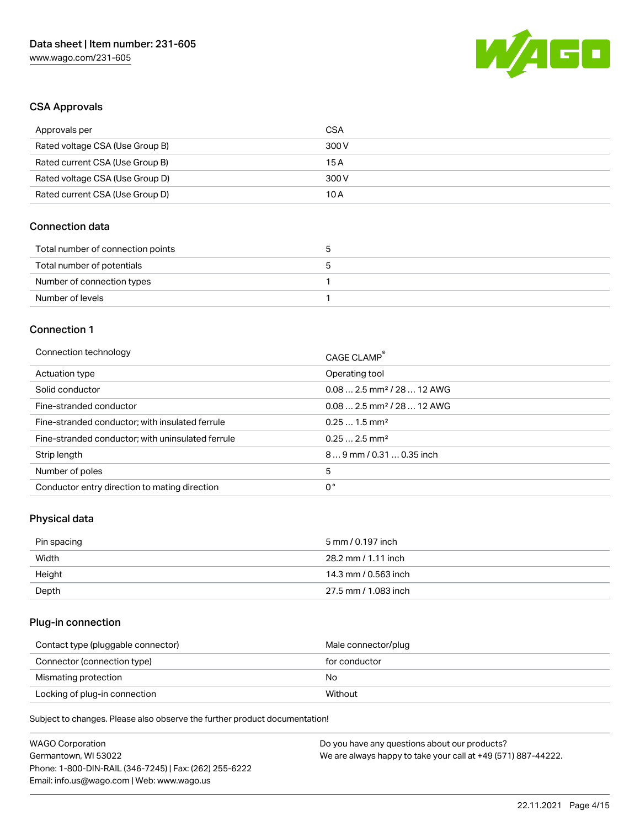

## CSA Approvals

| Approvals per                   | CSA   |
|---------------------------------|-------|
| Rated voltage CSA (Use Group B) | 300 V |
| Rated current CSA (Use Group B) | 15 A  |
| Rated voltage CSA (Use Group D) | 300 V |
| Rated current CSA (Use Group D) | 10 A  |

## Connection data

| Total number of connection points |  |
|-----------------------------------|--|
| Total number of potentials        |  |
| Number of connection types        |  |
| Number of levels                  |  |

#### Connection 1

| Connection technology                             | CAGE CLAMP®                            |
|---------------------------------------------------|----------------------------------------|
| Actuation type                                    | Operating tool                         |
| Solid conductor                                   | $0.082.5$ mm <sup>2</sup> / 28  12 AWG |
| Fine-stranded conductor                           | $0.082.5$ mm <sup>2</sup> / 28  12 AWG |
| Fine-stranded conductor; with insulated ferrule   | $0.251.5$ mm <sup>2</sup>              |
| Fine-stranded conductor; with uninsulated ferrule | $0.252.5$ mm <sup>2</sup>              |
| Strip length                                      | $89$ mm / 0.31  0.35 inch              |
| Number of poles                                   | 5                                      |
| Conductor entry direction to mating direction     | 0°                                     |

## Physical data

| Pin spacing | 5 mm / 0.197 inch    |
|-------------|----------------------|
| Width       | 28.2 mm / 1.11 inch  |
| Height      | 14.3 mm / 0.563 inch |
| Depth       | 27.5 mm / 1.083 inch |

## Plug-in connection

| Contact type (pluggable connector) | Male connector/plug |
|------------------------------------|---------------------|
| Connector (connection type)        | for conductor       |
| Mismating protection               | No                  |
| Locking of plug-in connection      | Without             |

| <b>WAGO Corporation</b>                                | Do you have any questions about our products?                 |
|--------------------------------------------------------|---------------------------------------------------------------|
| Germantown, WI 53022                                   | We are always happy to take your call at +49 (571) 887-44222. |
| Phone: 1-800-DIN-RAIL (346-7245)   Fax: (262) 255-6222 |                                                               |
| Email: info.us@wago.com   Web: www.wago.us             |                                                               |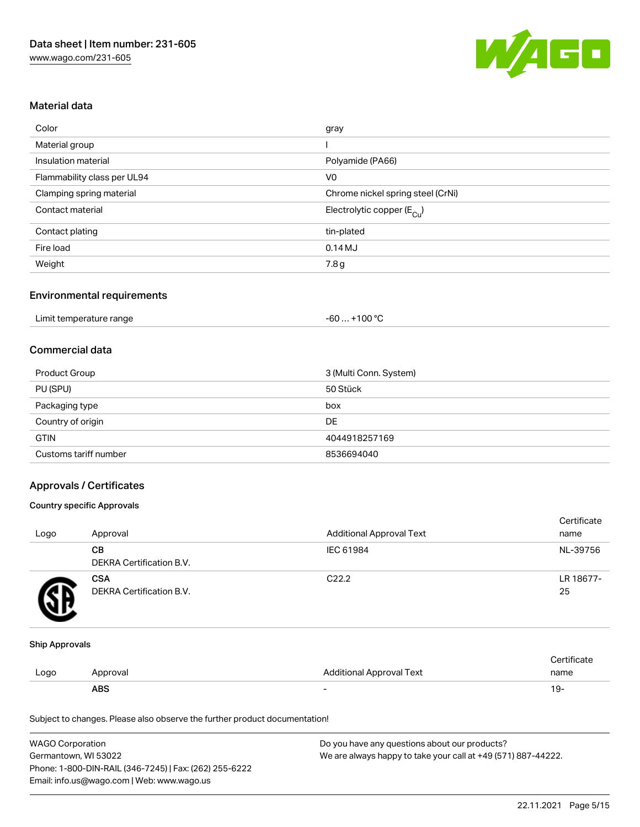

## Material data

| Color                       | gray                                  |
|-----------------------------|---------------------------------------|
| Material group              |                                       |
| Insulation material         | Polyamide (PA66)                      |
| Flammability class per UL94 | V <sub>0</sub>                        |
| Clamping spring material    | Chrome nickel spring steel (CrNi)     |
| Contact material            | Electrolytic copper $(E_{\text{Cl}})$ |
| Contact plating             | tin-plated                            |
| Fire load                   | 0.14MJ                                |
| Weight                      | 7.8g                                  |

## Environmental requirements

| Limit temperature range | +100 $^{\circ}$ C<br>-60  - |  |
|-------------------------|-----------------------------|--|
|-------------------------|-----------------------------|--|

## Commercial data

| Product Group         | 3 (Multi Conn. System) |
|-----------------------|------------------------|
| PU (SPU)              | 50 Stück               |
| Packaging type        | box                    |
| Country of origin     | DE                     |
| <b>GTIN</b>           | 4044918257169          |
| Customs tariff number | 8536694040             |

## Approvals / Certificates

#### Country specific Approvals

| Logo | Approval                               | <b>Additional Approval Text</b> | Certificate<br>name |
|------|----------------------------------------|---------------------------------|---------------------|
|      | CВ<br><b>DEKRA Certification B.V.</b>  | IEC 61984                       | NL-39756            |
|      | <b>CSA</b><br>DEKRA Certification B.V. | C <sub>22.2</sub>               | LR 18677-<br>25     |

#### Ship Approvals

|      | <b>ABS</b> |                                 | 19-  |
|------|------------|---------------------------------|------|
| Logo | Approval   | <b>Additional Approval Text</b> | name |
|      |            |                                 |      |

| <b>WAGO Corporation</b>                                | Do you have any questions about our products?                 |
|--------------------------------------------------------|---------------------------------------------------------------|
| Germantown. WI 53022                                   | We are always happy to take your call at +49 (571) 887-44222. |
| Phone: 1-800-DIN-RAIL (346-7245)   Fax: (262) 255-6222 |                                                               |
| Email: info.us@wago.com   Web: www.wago.us             |                                                               |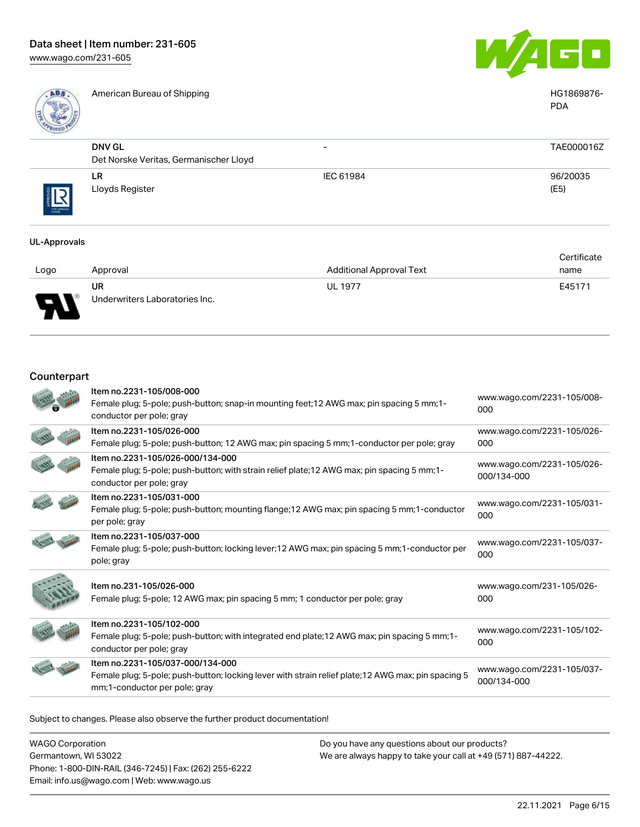

American Bureau of Shipping **HG1869876-** American Bureau of Shipping **HG1869876-**



|              |                                                         |           | <b>PDA</b>       |
|--------------|---------------------------------------------------------|-----------|------------------|
|              | <b>DNV GL</b><br>Det Norske Veritas, Germanischer Lloyd | -         | TAE000016Z       |
| THE APPROVAL | LR.<br>Lloyds Register                                  | IEC 61984 | 96/20035<br>(E5) |

#### UL-Approvals

|               |                                |                                 | Certificate |
|---------------|--------------------------------|---------------------------------|-------------|
| Logo          | Approval                       | <b>Additional Approval Text</b> | name        |
|               | <b>UR</b>                      | <b>UL 1977</b>                  | E45171      |
| $\Box$<br>. . | Underwriters Laboratories Inc. |                                 |             |

## Counterpart

| Item no.2231-105/008-000<br>Female plug; 5-pole; push-button; snap-in mounting feet; 12 AWG max; pin spacing 5 mm; 1-<br>conductor per pole; gray                        | www.wago.com/2231-105/008-<br>000         |
|--------------------------------------------------------------------------------------------------------------------------------------------------------------------------|-------------------------------------------|
| Item no.2231-105/026-000<br>Female plug; 5-pole; push-button; 12 AWG max; pin spacing 5 mm; 1-conductor per pole; gray                                                   | www.wago.com/2231-105/026-<br>000         |
| Item no.2231-105/026-000/134-000<br>Female plug; 5-pole; push-button; with strain relief plate; 12 AWG max; pin spacing 5 mm; 1-<br>conductor per pole; gray             | www.wago.com/2231-105/026-<br>000/134-000 |
| Item no.2231-105/031-000<br>Female plug; 5-pole; push-button; mounting flange; 12 AWG max; pin spacing 5 mm; 1-conductor<br>per pole; gray                               | www.wago.com/2231-105/031-<br>000         |
| Item no.2231-105/037-000<br>Female plug; 5-pole; push-button; locking lever; 12 AWG max; pin spacing 5 mm; 1-conductor per<br>pole; gray                                 | www.wago.com/2231-105/037-<br>000         |
| Item no.231-105/026-000<br>Female plug; 5-pole; 12 AWG max; pin spacing 5 mm; 1 conductor per pole; gray                                                                 | www.wago.com/231-105/026-<br>000          |
| Item no.2231-105/102-000<br>Female plug; 5-pole; push-button; with integrated end plate; 12 AWG max; pin spacing 5 mm; 1-<br>conductor per pole; gray                    | www.wago.com/2231-105/102-<br>000         |
| Item no.2231-105/037-000/134-000<br>Female plug; 5-pole; push-button; locking lever with strain relief plate; 12 AWG max; pin spacing 5<br>mm;1-conductor per pole; gray | www.wago.com/2231-105/037-<br>000/134-000 |
|                                                                                                                                                                          |                                           |

| WAGO Corporation                                       | Do you have any questions about our products?                 |
|--------------------------------------------------------|---------------------------------------------------------------|
| Germantown, WI 53022                                   | We are always happy to take your call at +49 (571) 887-44222. |
| Phone: 1-800-DIN-RAIL (346-7245)   Fax: (262) 255-6222 |                                                               |
| Email: info.us@wago.com   Web: www.wago.us             |                                                               |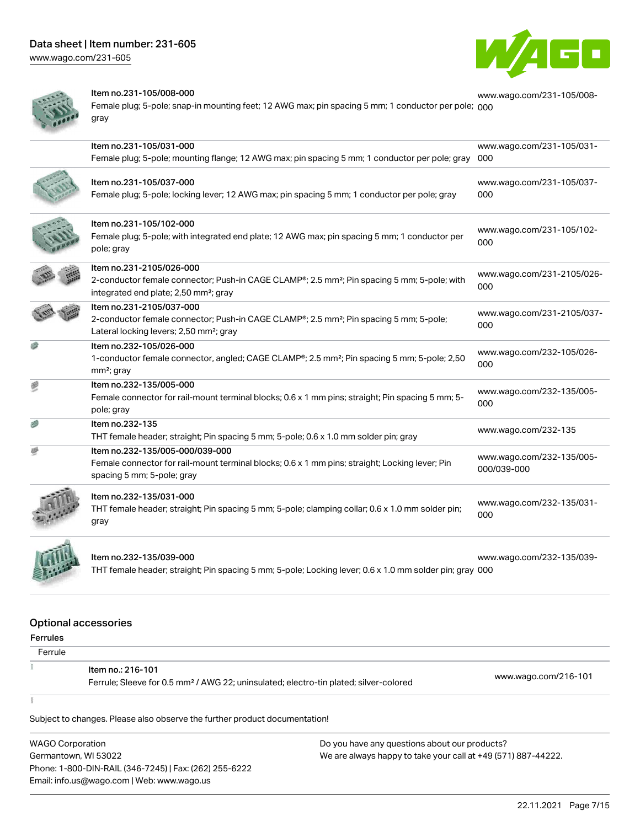# Data sheet | Item number: 231-605

[www.wago.com/231-605](http://www.wago.com/231-605)





#### Item no.231-105/008-000

Female plug; 5-pole; snap-in mounting feet; 12 AWG max; pin spacing 5 mm; 1 conductor per pole; <sub>[000](https://www.wago.com/231-105/008-000)</sub> gray [www.wago.com/231-105/008-](https://www.wago.com/231-105/008-000)

|   | Item no.231-105/031-000<br>Female plug; 5-pole; mounting flange; 12 AWG max; pin spacing 5 mm; 1 conductor per pole; gray                                                                | www.wago.com/231-105/031-<br>000         |
|---|------------------------------------------------------------------------------------------------------------------------------------------------------------------------------------------|------------------------------------------|
|   | Item no.231-105/037-000<br>Female plug; 5-pole; locking lever; 12 AWG max; pin spacing 5 mm; 1 conductor per pole; gray                                                                  | www.wago.com/231-105/037-<br>000         |
|   | Item no.231-105/102-000<br>Female plug; 5-pole; with integrated end plate; 12 AWG max; pin spacing 5 mm; 1 conductor per<br>pole; gray                                                   | www.wago.com/231-105/102-<br>000         |
|   | Item no.231-2105/026-000<br>2-conductor female connector; Push-in CAGE CLAMP®; 2.5 mm <sup>2</sup> ; Pin spacing 5 mm; 5-pole; with<br>integrated end plate; 2,50 mm <sup>2</sup> ; gray | www.wago.com/231-2105/026-<br>000        |
|   | Item no.231-2105/037-000<br>2-conductor female connector; Push-in CAGE CLAMP®; 2.5 mm <sup>2</sup> ; Pin spacing 5 mm; 5-pole;<br>Lateral locking levers; 2,50 mm <sup>2</sup> ; gray    | www.wago.com/231-2105/037-<br>000        |
|   | Item no.232-105/026-000<br>1-conductor female connector, angled; CAGE CLAMP®; 2.5 mm <sup>2</sup> ; Pin spacing 5 mm; 5-pole; 2,50<br>$mm2$ ; gray                                       | www.wago.com/232-105/026-<br>000         |
| 遭 | Item no.232-135/005-000<br>Female connector for rail-mount terminal blocks; 0.6 x 1 mm pins; straight; Pin spacing 5 mm; 5-<br>pole; gray                                                | www.wago.com/232-135/005-<br>000         |
|   | Item no.232-135<br>THT female header; straight; Pin spacing 5 mm; 5-pole; 0.6 x 1.0 mm solder pin; gray                                                                                  | www.wago.com/232-135                     |
|   | Item no.232-135/005-000/039-000<br>Female connector for rail-mount terminal blocks; 0.6 x 1 mm pins; straight; Locking lever; Pin<br>spacing 5 mm; 5-pole; gray                          | www.wago.com/232-135/005-<br>000/039-000 |
|   | Item no.232-135/031-000<br>THT female header; straight; Pin spacing 5 mm; 5-pole; clamping collar; 0.6 x 1.0 mm solder pin;<br>gray                                                      | www.wago.com/232-135/031-<br>000         |
|   | Item no.232-135/039-000                                                                                                                                                                  | www.wago.com/232-135/039-                |

THT female header; straight; Pin spacing 5 mm; 5-pole; Locking lever; 0.6 x 1.0 mm solder pin; gray [000](https://www.wago.com/232-135/039-000)

[www.wago.com/232-135/039-](https://www.wago.com/232-135/039-000)

#### Optional accessories

Ferrules

| Ferrule |                                                                                                                        |                      |
|---------|------------------------------------------------------------------------------------------------------------------------|----------------------|
|         | Item no.: 216-101<br>Ferrule; Sleeve for 0.5 mm <sup>2</sup> / AWG 22; uninsulated; electro-tin plated; silver-colored | www.wago.com/216-101 |
|         |                                                                                                                        |                      |
|         | Subject to changes. Please also observe the further product documentation!                                             |                      |

WAGO Corporation Germantown, WI 53022 Phone: 1-800-DIN-RAIL (346-7245) | Fax: (262) 255-6222 Email: info.us@wago.com | Web: www.wago.us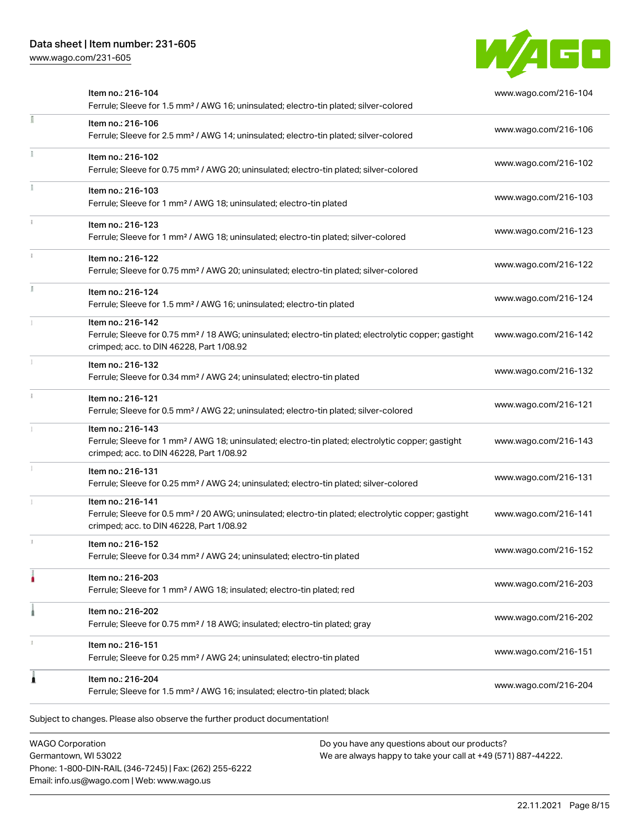[www.wago.com/231-605](http://www.wago.com/231-605)



|   | Item no.: 216-104<br>Ferrule; Sleeve for 1.5 mm <sup>2</sup> / AWG 16; uninsulated; electro-tin plated; silver-colored                                                             | www.wago.com/216-104 |
|---|------------------------------------------------------------------------------------------------------------------------------------------------------------------------------------|----------------------|
| E | Item no.: 216-106<br>Ferrule; Sleeve for 2.5 mm <sup>2</sup> / AWG 14; uninsulated; electro-tin plated; silver-colored                                                             | www.wago.com/216-106 |
|   | Item no.: 216-102<br>Ferrule; Sleeve for 0.75 mm <sup>2</sup> / AWG 20; uninsulated; electro-tin plated; silver-colored                                                            | www.wago.com/216-102 |
|   | Item no.: 216-103<br>Ferrule; Sleeve for 1 mm <sup>2</sup> / AWG 18; uninsulated; electro-tin plated                                                                               | www.wago.com/216-103 |
|   | Item no.: 216-123<br>Ferrule; Sleeve for 1 mm <sup>2</sup> / AWG 18; uninsulated; electro-tin plated; silver-colored                                                               | www.wago.com/216-123 |
|   | Item no.: 216-122<br>Ferrule; Sleeve for 0.75 mm <sup>2</sup> / AWG 20; uninsulated; electro-tin plated; silver-colored                                                            | www.wago.com/216-122 |
|   | Item no.: 216-124<br>Ferrule; Sleeve for 1.5 mm <sup>2</sup> / AWG 16; uninsulated; electro-tin plated                                                                             | www.wago.com/216-124 |
|   | Item no.: 216-142<br>Ferrule; Sleeve for 0.75 mm <sup>2</sup> / 18 AWG; uninsulated; electro-tin plated; electrolytic copper; gastight<br>crimped; acc. to DIN 46228, Part 1/08.92 | www.wago.com/216-142 |
|   | Item no.: 216-132<br>Ferrule; Sleeve for 0.34 mm <sup>2</sup> / AWG 24; uninsulated; electro-tin plated                                                                            | www.wago.com/216-132 |
|   | Item no.: 216-121<br>Ferrule; Sleeve for 0.5 mm <sup>2</sup> / AWG 22; uninsulated; electro-tin plated; silver-colored                                                             | www.wago.com/216-121 |
|   | Item no.: 216-143<br>Ferrule; Sleeve for 1 mm <sup>2</sup> / AWG 18; uninsulated; electro-tin plated; electrolytic copper; gastight<br>crimped; acc. to DIN 46228, Part 1/08.92    | www.wago.com/216-143 |
|   | Item no.: 216-131<br>Ferrule; Sleeve for 0.25 mm <sup>2</sup> / AWG 24; uninsulated; electro-tin plated; silver-colored                                                            | www.wago.com/216-131 |
|   | Item no.: 216-141<br>Ferrule; Sleeve for 0.5 mm <sup>2</sup> / 20 AWG; uninsulated; electro-tin plated; electrolytic copper; gastight<br>crimped; acc. to DIN 46228, Part 1/08.92  | www.wago.com/216-141 |
|   | Item no.: 216-152<br>Ferrule; Sleeve for 0.34 mm <sup>2</sup> / AWG 24; uninsulated; electro-tin plated                                                                            | www.wago.com/216-152 |
|   | Item no.: 216-203<br>Ferrule; Sleeve for 1 mm <sup>2</sup> / AWG 18; insulated; electro-tin plated; red                                                                            | www.wago.com/216-203 |
|   | Item no.: 216-202<br>Ferrule; Sleeve for 0.75 mm <sup>2</sup> / 18 AWG; insulated; electro-tin plated; gray                                                                        | www.wago.com/216-202 |
|   | Item no.: 216-151<br>Ferrule; Sleeve for 0.25 mm <sup>2</sup> / AWG 24; uninsulated; electro-tin plated                                                                            | www.wago.com/216-151 |
|   | Item no.: 216-204<br>Ferrule; Sleeve for 1.5 mm <sup>2</sup> / AWG 16; insulated; electro-tin plated; black                                                                        | www.wago.com/216-204 |

WAGO Corporation Germantown, WI 53022 Phone: 1-800-DIN-RAIL (346-7245) | Fax: (262) 255-6222 Email: info.us@wago.com | Web: www.wago.us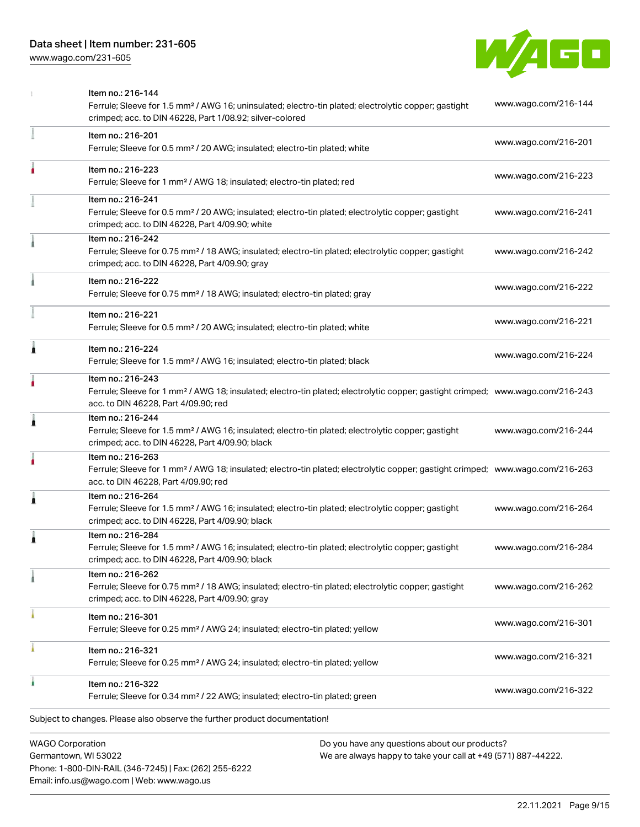[www.wago.com/231-605](http://www.wago.com/231-605)



|   | <b>WAGO Corporation</b><br>Do you have any questions about our products?                                                                                                                                |                      |
|---|---------------------------------------------------------------------------------------------------------------------------------------------------------------------------------------------------------|----------------------|
|   | Subject to changes. Please also observe the further product documentation!                                                                                                                              |                      |
|   | Item no.: 216-322<br>Ferrule; Sleeve for 0.34 mm <sup>2</sup> / 22 AWG; insulated; electro-tin plated; green                                                                                            | www.wago.com/216-322 |
|   | Item no.: 216-321<br>Ferrule; Sleeve for 0.25 mm <sup>2</sup> / AWG 24; insulated; electro-tin plated; yellow                                                                                           | www.wago.com/216-321 |
|   | Item no.: 216-301<br>Ferrule; Sleeve for 0.25 mm <sup>2</sup> / AWG 24; insulated; electro-tin plated; yellow                                                                                           | www.wago.com/216-301 |
|   | Item no.: 216-262<br>Ferrule; Sleeve for 0.75 mm <sup>2</sup> / 18 AWG; insulated; electro-tin plated; electrolytic copper; gastight<br>crimped; acc. to DIN 46228, Part 4/09.90; gray                  | www.wago.com/216-262 |
|   | Item no.: 216-284<br>Ferrule; Sleeve for 1.5 mm <sup>2</sup> / AWG 16; insulated; electro-tin plated; electrolytic copper; gastight<br>crimped; acc. to DIN 46228, Part 4/09.90; black                  | www.wago.com/216-284 |
| Â | Item no.: 216-264<br>Ferrule; Sleeve for 1.5 mm <sup>2</sup> / AWG 16; insulated; electro-tin plated; electrolytic copper; gastight<br>crimped; acc. to DIN 46228, Part 4/09.90; black                  | www.wago.com/216-264 |
|   | Item no.: 216-263<br>Ferrule; Sleeve for 1 mm <sup>2</sup> / AWG 18; insulated; electro-tin plated; electrolytic copper; gastight crimped; www.wago.com/216-263<br>acc. to DIN 46228, Part 4/09.90; red |                      |
| 1 | Item no.: 216-244<br>Ferrule; Sleeve for 1.5 mm <sup>2</sup> / AWG 16; insulated; electro-tin plated; electrolytic copper; gastight<br>crimped; acc. to DIN 46228, Part 4/09.90; black                  | www.wago.com/216-244 |
|   | Item no.: 216-243<br>Ferrule; Sleeve for 1 mm <sup>2</sup> / AWG 18; insulated; electro-tin plated; electrolytic copper; gastight crimped; www.wago.com/216-243<br>acc. to DIN 46228, Part 4/09.90; red |                      |
| Ă | Item no.: 216-224<br>Ferrule; Sleeve for 1.5 mm <sup>2</sup> / AWG 16; insulated; electro-tin plated; black                                                                                             | www.wago.com/216-224 |
|   | Item no.: 216-221<br>Ferrule; Sleeve for 0.5 mm <sup>2</sup> / 20 AWG; insulated; electro-tin plated; white                                                                                             | www.wago.com/216-221 |
|   | Item no.: 216-222<br>Ferrule; Sleeve for 0.75 mm <sup>2</sup> / 18 AWG; insulated; electro-tin plated; gray                                                                                             | www.wago.com/216-222 |
|   | Item no.: 216-242<br>Ferrule; Sleeve for 0.75 mm <sup>2</sup> / 18 AWG; insulated; electro-tin plated; electrolytic copper; gastight<br>crimped; acc. to DIN 46228, Part 4/09.90; gray                  | www.wago.com/216-242 |
|   | Item no.: 216-241<br>Ferrule; Sleeve for 0.5 mm <sup>2</sup> / 20 AWG; insulated; electro-tin plated; electrolytic copper; gastight<br>crimped; acc. to DIN 46228, Part 4/09.90; white                  | www.wago.com/216-241 |
|   | Item no.: 216-223<br>Ferrule; Sleeve for 1 mm <sup>2</sup> / AWG 18; insulated; electro-tin plated; red                                                                                                 | www.wago.com/216-223 |
|   | Item no.: 216-201<br>Ferrule; Sleeve for 0.5 mm <sup>2</sup> / 20 AWG; insulated; electro-tin plated; white                                                                                             | www.wago.com/216-201 |
|   | Item no.: 216-144<br>Ferrule; Sleeve for 1.5 mm <sup>2</sup> / AWG 16; uninsulated; electro-tin plated; electrolytic copper; gastight<br>crimped; acc. to DIN 46228, Part 1/08.92; silver-colored       | www.wago.com/216-144 |

Germantown, WI 53022 Phone: 1-800-DIN-RAIL (346-7245) | Fax: (262) 255-6222 Email: info.us@wago.com | Web: www.wago.us

have any questions about o<mark></mark> We are always happy to take your call at +49 (571) 887-44222.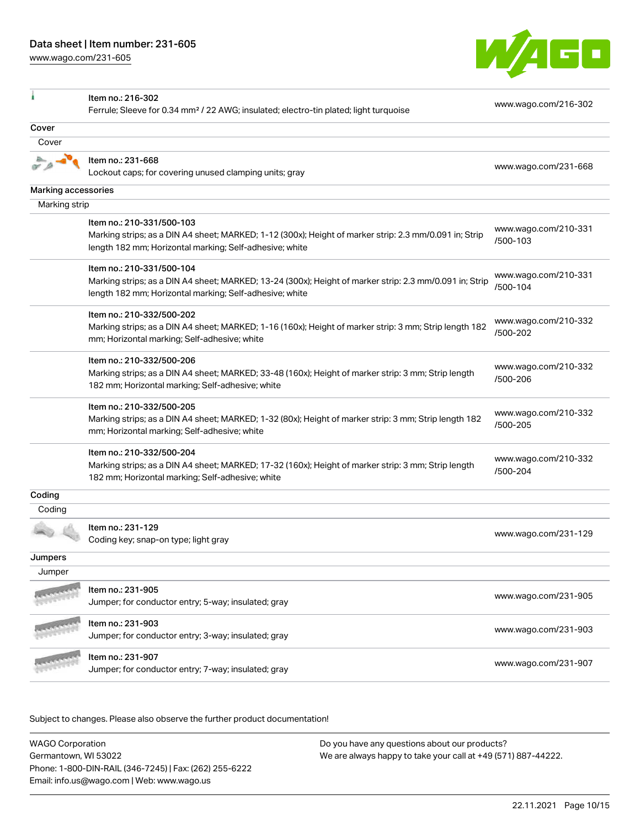[www.wago.com/231-605](http://www.wago.com/231-605)



| ۸                   | Item no.: 216-302                                                                                                                                                  | www.wago.com/216-302             |
|---------------------|--------------------------------------------------------------------------------------------------------------------------------------------------------------------|----------------------------------|
|                     | Ferrule; Sleeve for 0.34 mm <sup>2</sup> / 22 AWG; insulated; electro-tin plated; light turquoise                                                                  |                                  |
| Cover               |                                                                                                                                                                    |                                  |
| Cover               |                                                                                                                                                                    |                                  |
|                     | Item no.: 231-668                                                                                                                                                  |                                  |
|                     | Lockout caps; for covering unused clamping units; gray                                                                                                             | www.wago.com/231-668             |
| Marking accessories |                                                                                                                                                                    |                                  |
| Marking strip       |                                                                                                                                                                    |                                  |
|                     | Item no.: 210-331/500-103                                                                                                                                          |                                  |
|                     | Marking strips; as a DIN A4 sheet; MARKED; 1-12 (300x); Height of marker strip: 2.3 mm/0.091 in; Strip<br>length 182 mm; Horizontal marking; Self-adhesive; white  | www.wago.com/210-331<br>/500-103 |
|                     | Item no.: 210-331/500-104                                                                                                                                          |                                  |
|                     | Marking strips; as a DIN A4 sheet; MARKED; 13-24 (300x); Height of marker strip: 2.3 mm/0.091 in; Strip<br>length 182 mm; Horizontal marking; Self-adhesive; white | www.wago.com/210-331<br>/500-104 |
|                     | Item no.: 210-332/500-202                                                                                                                                          | www.wago.com/210-332             |
|                     | Marking strips; as a DIN A4 sheet; MARKED; 1-16 (160x); Height of marker strip: 3 mm; Strip length 182<br>mm; Horizontal marking; Self-adhesive; white             | /500-202                         |
|                     | Item no.: 210-332/500-206                                                                                                                                          | www.wago.com/210-332             |
|                     | Marking strips; as a DIN A4 sheet; MARKED; 33-48 (160x); Height of marker strip: 3 mm; Strip length<br>182 mm; Horizontal marking; Self-adhesive; white            | /500-206                         |
|                     | Item no.: 210-332/500-205                                                                                                                                          | www.wago.com/210-332             |
|                     | Marking strips; as a DIN A4 sheet; MARKED; 1-32 (80x); Height of marker strip: 3 mm; Strip length 182<br>mm; Horizontal marking; Self-adhesive; white              | /500-205                         |
|                     | Item no.: 210-332/500-204                                                                                                                                          | www.wago.com/210-332             |
|                     | Marking strips; as a DIN A4 sheet; MARKED; 17-32 (160x); Height of marker strip: 3 mm; Strip length<br>182 mm; Horizontal marking; Self-adhesive; white            | /500-204                         |
| Coding              |                                                                                                                                                                    |                                  |
| Coding              |                                                                                                                                                                    |                                  |
|                     | Item no.: 231-129<br>Coding key; snap-on type; light gray                                                                                                          | www.wago.com/231-129             |
| Jumpers             |                                                                                                                                                                    |                                  |
| Jumper              |                                                                                                                                                                    |                                  |
|                     | Item no.: 231-905                                                                                                                                                  |                                  |
|                     | Jumper; for conductor entry; 5-way; insulated; gray                                                                                                                | www.wago.com/231-905             |
|                     | Item no.: 231-903                                                                                                                                                  | www.wago.com/231-903             |
|                     | Jumper; for conductor entry; 3-way; insulated; gray                                                                                                                |                                  |
|                     | Item no.: 231-907<br>Jumper; for conductor entry; 7-way; insulated; gray                                                                                           | www.wago.com/231-907             |
|                     |                                                                                                                                                                    |                                  |

Subject to changes. Please also observe the further product documentation!

WAGO Corporation Germantown, WI 53022 Phone: 1-800-DIN-RAIL (346-7245) | Fax: (262) 255-6222 Email: info.us@wago.com | Web: www.wago.us Do you have any questions about our products? We are always happy to take your call at +49 (571) 887-44222.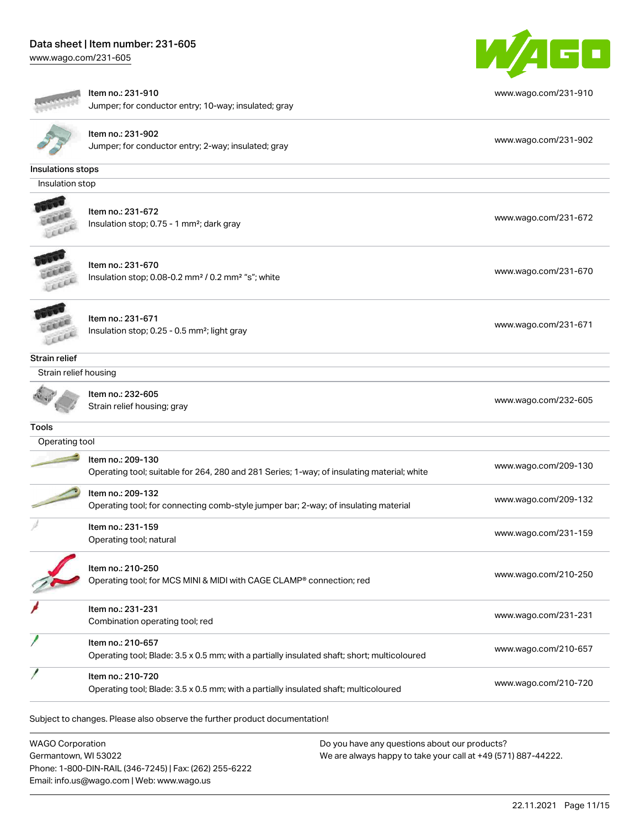# Data sheet | Item number: 231-605

[www.wago.com/231-605](http://www.wago.com/231-605)



|                       | Item no.: 231-910<br>Jumper; for conductor entry; 10-way; insulated; gray                   | www.wago.com/231-910 |
|-----------------------|---------------------------------------------------------------------------------------------|----------------------|
|                       |                                                                                             |                      |
|                       | Item no.: 231-902<br>Jumper; for conductor entry; 2-way; insulated; gray                    | www.wago.com/231-902 |
|                       |                                                                                             |                      |
| Insulations stops     |                                                                                             |                      |
| Insulation stop       |                                                                                             |                      |
|                       | Item no.: 231-672                                                                           |                      |
|                       | Insulation stop; 0.75 - 1 mm <sup>2</sup> ; dark gray                                       | www.wago.com/231-672 |
|                       |                                                                                             |                      |
|                       | Item no.: 231-670                                                                           |                      |
|                       | Insulation stop; 0.08-0.2 mm <sup>2</sup> / 0.2 mm <sup>2</sup> "s"; white                  | www.wago.com/231-670 |
|                       |                                                                                             |                      |
|                       | Item no.: 231-671                                                                           |                      |
|                       | Insulation stop; 0.25 - 0.5 mm <sup>2</sup> ; light gray                                    | www.wago.com/231-671 |
|                       |                                                                                             |                      |
| Strain relief         |                                                                                             |                      |
| Strain relief housing |                                                                                             |                      |
|                       | Item no.: 232-605                                                                           |                      |
|                       | Strain relief housing; gray                                                                 | www.wago.com/232-605 |
| <b>Tools</b>          |                                                                                             |                      |
| Operating tool        |                                                                                             |                      |
|                       | Item no.: 209-130                                                                           | www.wago.com/209-130 |
|                       | Operating tool; suitable for 264, 280 and 281 Series; 1-way; of insulating material; white  |                      |
|                       | Item no.: 209-132                                                                           | www.wago.com/209-132 |
|                       | Operating tool; for connecting comb-style jumper bar; 2-way; of insulating material         |                      |
|                       | Item no.: 231-159                                                                           | www.wago.com/231-159 |
|                       | Operating tool; natural                                                                     |                      |
|                       | Item no.: 210-250                                                                           |                      |
|                       | Operating tool; for MCS MINI & MIDI with CAGE CLAMP® connection; red                        | www.wago.com/210-250 |
|                       |                                                                                             |                      |
|                       | Item no.: 231-231                                                                           | www.wago.com/231-231 |
|                       | Combination operating tool; red                                                             |                      |
|                       | Item no.: 210-657                                                                           | www.wago.com/210-657 |
|                       | Operating tool; Blade: 3.5 x 0.5 mm; with a partially insulated shaft; short; multicoloured |                      |
|                       | Item no.: 210-720                                                                           | www.wago.com/210-720 |
|                       | Operating tool; Blade: 3.5 x 0.5 mm; with a partially insulated shaft; multicoloured        |                      |

WAGO Corporation Germantown, WI 53022 Phone: 1-800-DIN-RAIL (346-7245) | Fax: (262) 255-6222 Email: info.us@wago.com | Web: www.wago.us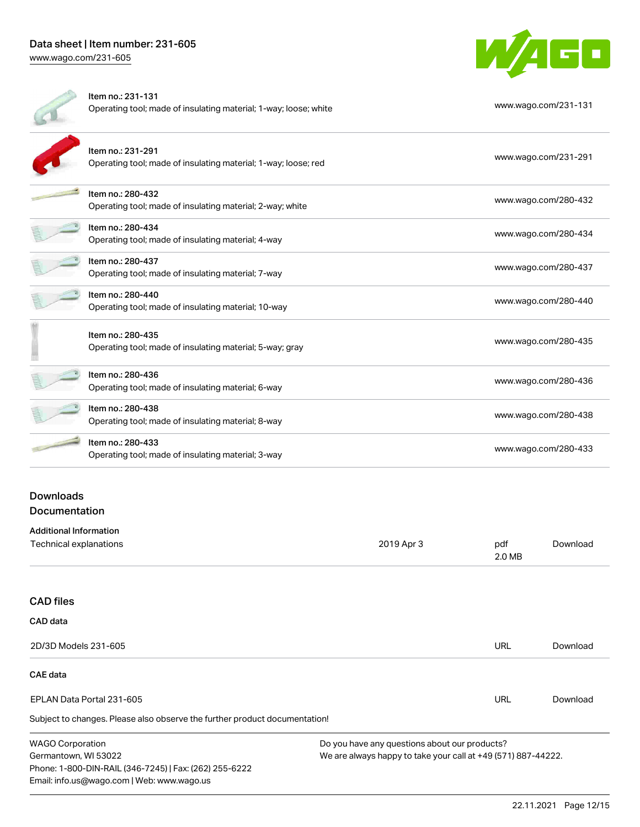## Data sheet | Item number: 231-605 [www.wago.com/231-605](http://www.wago.com/231-605)

W/4GO

| Item no.: 231-131<br>Operating tool; made of insulating material; 1-way; loose; white | www.wago.com/231-131 |
|---------------------------------------------------------------------------------------|----------------------|
| Item no.: 231-291<br>Operating tool; made of insulating material; 1-way; loose; red   | www.wago.com/231-291 |
| Item no.: 280-432<br>Operating tool; made of insulating material; 2-way; white        | www.wago.com/280-432 |
| Item no.: 280-434<br>Operating tool; made of insulating material; 4-way               | www.wago.com/280-434 |
| Item no.: 280-437<br>Operating tool; made of insulating material; 7-way               | www.wago.com/280-437 |
| Item no.: 280-440<br>Operating tool; made of insulating material; 10-way              | www.wago.com/280-440 |
| Item no.: 280-435<br>Operating tool; made of insulating material; 5-way; gray         | www.wago.com/280-435 |
| Item no.: 280-436<br>Operating tool; made of insulating material; 6-way               | www.wago.com/280-436 |
| Item no.: 280-438<br>Operating tool; made of insulating material; 8-way               | www.wago.com/280-438 |
| Item no.: 280-433<br>Operating tool; made of insulating material; 3-way               | www.wago.com/280-433 |
|                                                                                       |                      |

## Downloads Documentation

| <b>Additional Information</b> |            |               |          |
|-------------------------------|------------|---------------|----------|
| Technical explanations        | 2019 Apr 3 | pdf<br>2.0 MB | Download |
|                               |            |               |          |

#### CAD files

Phone: 1-800-DIN-RAIL (346-7245) | Fax: (262) 255-6222

Email: info.us@wago.com | Web: www.wago.us

| CAD data                                                                   |                                                               |     |          |
|----------------------------------------------------------------------------|---------------------------------------------------------------|-----|----------|
| 2D/3D Models 231-605                                                       |                                                               | URL | Download |
| <b>CAE</b> data                                                            |                                                               |     |          |
| EPLAN Data Portal 231-605                                                  |                                                               | URL | Download |
| Subject to changes. Please also observe the further product documentation! |                                                               |     |          |
| <b>WAGO Corporation</b>                                                    | Do you have any questions about our products?                 |     |          |
| Germantown, WI 53022                                                       | We are always happy to take your call at +49 (571) 887-44222. |     |          |

22.11.2021 Page 12/15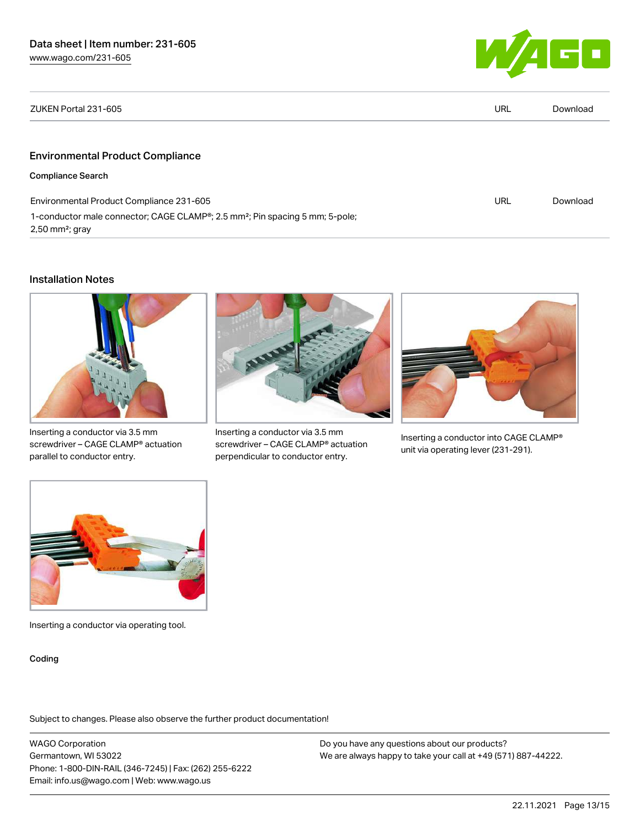

| ZUKEN Portal 231-605                                                                                                                   | URL | Download |
|----------------------------------------------------------------------------------------------------------------------------------------|-----|----------|
|                                                                                                                                        |     |          |
| <b>Environmental Product Compliance</b>                                                                                                |     |          |
| <b>Compliance Search</b>                                                                                                               |     |          |
| Environmental Product Compliance 231-605                                                                                               | URL | Download |
| 1-conductor male connector; CAGE CLAMP <sup>®</sup> ; 2.5 mm <sup>2</sup> ; Pin spacing 5 mm; 5-pole;<br>$2,50$ mm <sup>2</sup> ; gray |     |          |

#### Installation Notes



Inserting a conductor via 3.5 mm screwdriver – CAGE CLAMP® actuation parallel to conductor entry.



Inserting a conductor via 3.5 mm screwdriver – CAGE CLAMP® actuation perpendicular to conductor entry.



Inserting a conductor into CAGE CLAMP® unit via operating lever (231-291).



Inserting a conductor via operating tool.

Coding

Subject to changes. Please also observe the further product documentation!

WAGO Corporation Germantown, WI 53022 Phone: 1-800-DIN-RAIL (346-7245) | Fax: (262) 255-6222 Email: info.us@wago.com | Web: www.wago.us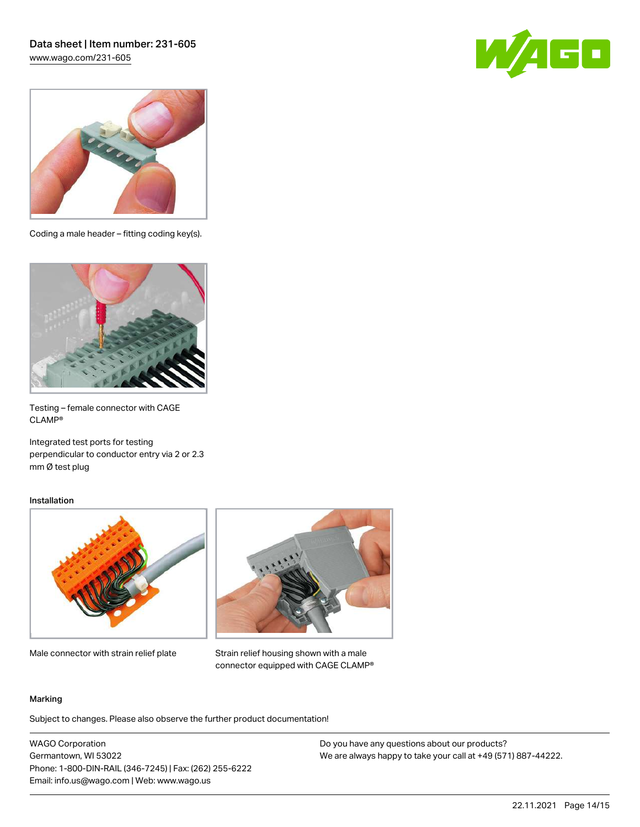## Data sheet | Item number: 231-605 [www.wago.com/231-605](http://www.wago.com/231-605)





Coding a male header – fitting coding key(s).



Testing – female connector with CAGE CLAMP®

Integrated test ports for testing perpendicular to conductor entry via 2 or 2.3 mm Ø test plug

#### Installation



Male connector with strain relief plate



Strain relief housing shown with a male connector equipped with CAGE CLAMP®

#### Marking

Subject to changes. Please also observe the further product documentation!

WAGO Corporation Germantown, WI 53022 Phone: 1-800-DIN-RAIL (346-7245) | Fax: (262) 255-6222 Email: info.us@wago.com | Web: www.wago.us